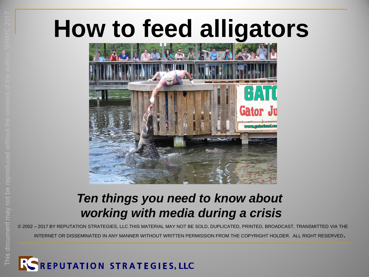# **How to feed alligators**



#### *Ten things you need to know about working with media during a crisis*

© 2002 – 2017 BY REPUTATION STRATEGIES, LLC.THIS MATERIAL MAY NOT BE SOLD, DUPLICATED, PRINTED, BROADCAST, TRANSMITTED VIA THE

INTERNET OR DISSEMINATED IN ANY MANNER WITHOUT WRITTEN PERMISSION FROM THE COPYRIGHT HOLDER. ALL RIGHT RESERVED.

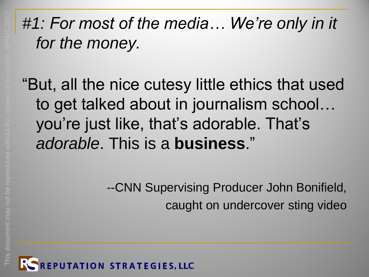#### *#1: For most of the media… We're only in it for the money.*

"But, all the nice cutesy little ethics that used to get talked about in journalism school… you're just like, that's adorable. That's *adorable*. This is a **business**."

> --CNN Supervising Producer John Bonifield, caught on undercover sting video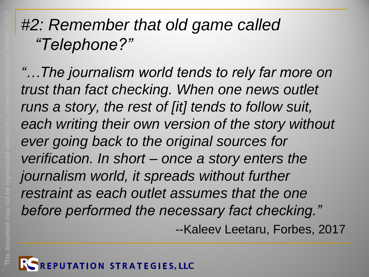#### *#2: Remember that old game called "Telephone?"*

*"…The journalism world tends to rely far more on trust than fact checking. When one news outlet runs a story, the rest of [it] tends to follow suit, each writing their own version of the story without ever going back to the original sources for verification. In short – once a story enters the journalism world, it spreads without further restraint as each outlet assumes that the one before performed the necessary fact checking."* --Kaleev Leetaru, Forbes, 2017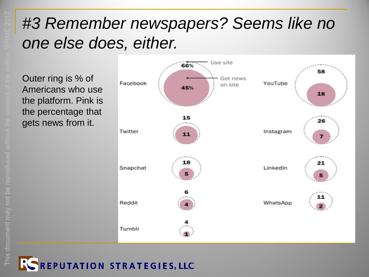#### *#3 Remember newspapers? Seems like no one else does, either.*

Outer ring is % of Americans who use the platform. Pink is the percentage that gets news from it.



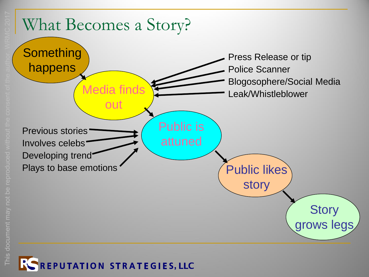

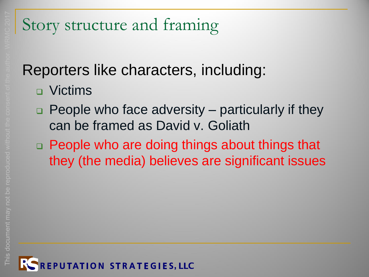#### Reporters like characters, including:

- **D** Victims
- $\Box$  People who face adversity particularly if they can be framed as David v. Goliath
- □ People who are doing things about things that they (the media) believes are significant issues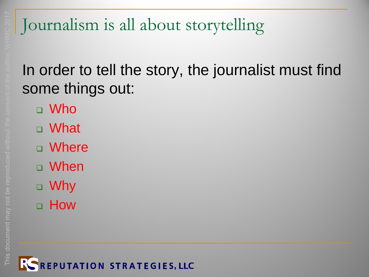#### In order to tell the story, the journalist must find some things out:

- Who
- What
- Where
- When
- Why
- **u** How

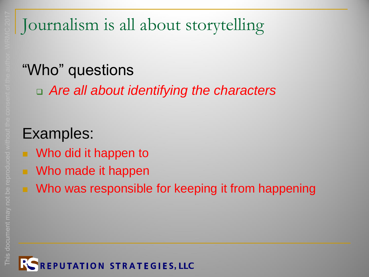### "Who" questions

*Are all about identifying the characters*

- Who did it happen to
- Who made it happen
- Who was responsible for keeping it from happening

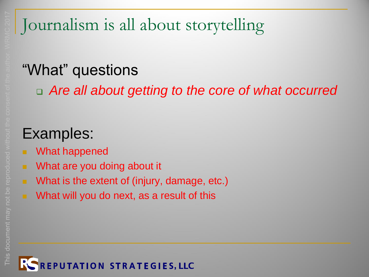#### "What" questions

*Are all about getting to the core of what occurred*

- What happened
- What are you doing about it
- **Notable 19 Millong Extent of (injury, damage, etc.)**
- **Notable 10 What will you do next, as a result of this**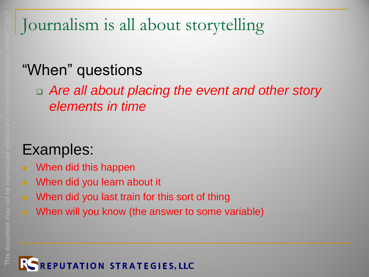#### "When" questions

#### *Are all about placing the event and other story elements in time*

- When did this happen
- When did you learn about it
- When did you last train for this sort of thing
	- When will you know (the answer to some variable)

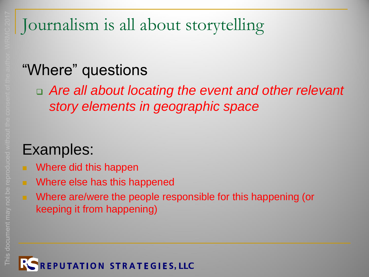#### "Where" questions

 *Are all about locating the event and other relevant story elements in geographic space*

- Where did this happen
- Where else has this happened
- Where are/were the people responsible for this happening (or keeping it from happening)

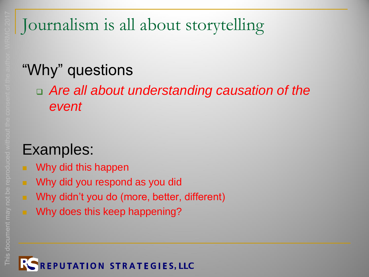#### "Why" questions

 *Are all about understanding causation of the event*

- Why did this happen
- **Notal Why did you respond as you did**
- **Notal Milters** Why didn't you do (more, better, different)
	- Why does this keep happening?

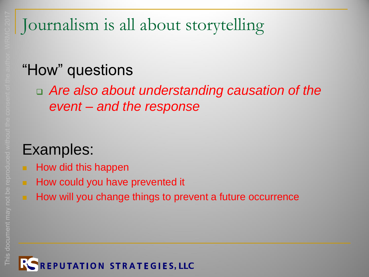#### "How" questions

 *Are also about understanding causation of the event – and the response*

- $\blacksquare$  How did this happen
- **How could you have prevented it** 
	- How will you change things to prevent a future occurrence

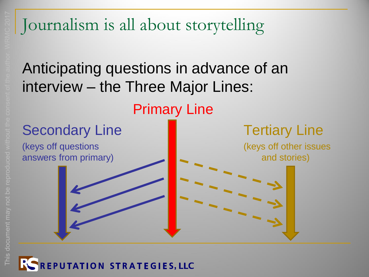Anticipating questions in advance of an interview – the Three Major Lines:

Primary Line Secondary Line **Tertiary Line** 

(keys off questions (keys off other issues answers from primary) **and stories** and stories)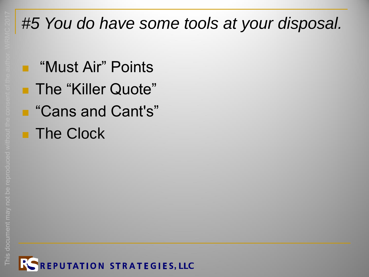# *#5 You do have some tools at your disposal.*

■ "Must Air" Points **The "Killer Quote"** ■ "Cans and Cant's" **The Clock** 

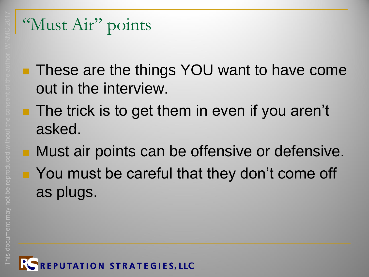#### "Must Air" points

- **These are the things YOU want to have come** out in the interview.
- **The trick is to get them in even if you aren't** asked.
- **Must air points can be offensive or defensive.**
- You must be careful that they don't come off as plugs.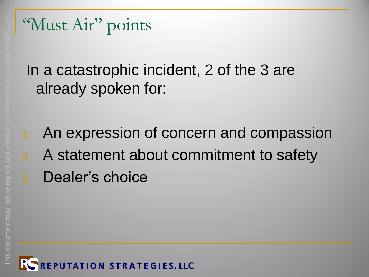"Must Air" points

In a catastrophic incident, 2 of the 3 are already spoken for:

1. An expression of concern and compassion 2. A statement about commitment to safety 3. Dealer's choice

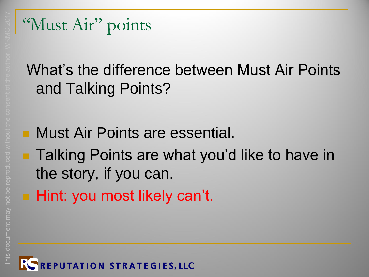#### "Must Air" points

#### What's the difference between Must Air Points and Talking Points?

- Must Air Points are essential.
- **Talking Points are what you'd like to have in** the story, if you can.
- **Hint: you most likely can't.**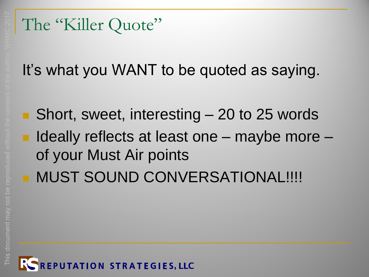#### The "Killer Quote"

It's what you WANT to be quoted as saying.

■ Short, sweet, interesting – 20 to 25 words  $\blacksquare$  Ideally reflects at least one – maybe more – of your Must Air points **MUST SOUND CONVERSATIONAL!!!!**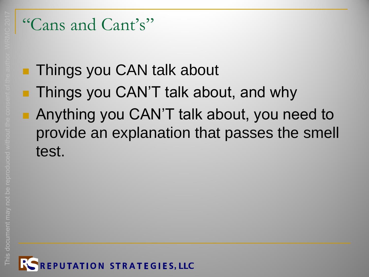#### "Cans and Cant's"

#### **Things you CAN talk about**

- **Things you CAN'T talk about, and why**
- **Anything you CAN'T talk about, you need to** provide an explanation that passes the smell test.

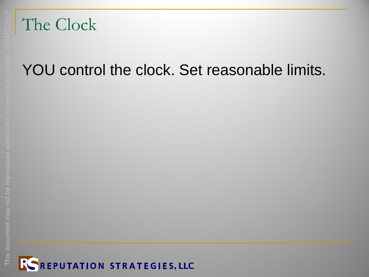#### The Clock

#### YOU control the clock. Set reasonable limits.

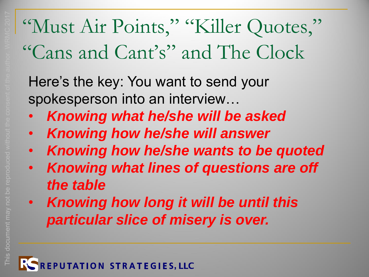# "Must Air Points," "Killer Quotes," "Cans and Cant's" and The Clock

Here's the key: You want to send your spokesperson into an interview…

- *Knowing what he/she will be asked*
- *Knowing how he/she will answer*
- *Knowing how he/she wants to be quoted*
- *Knowing what lines of questions are off the table*
- *Knowing how long it will be until this particular slice of misery is over.*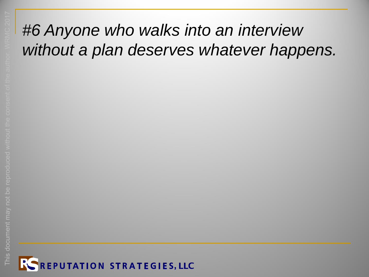#### *#6 Anyone who walks into an interview without a plan deserves whatever happens.*

This document may not be reproduced without the consent of the author. WRMC 2017

**COCI** 

This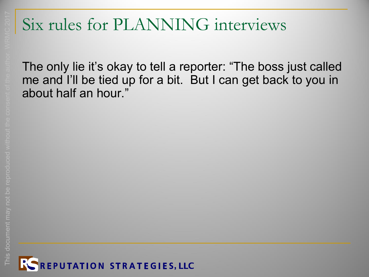### Six rules for PLANNING interviews

The only lie it's okay to tell a reporter: "The boss just called me and I'll be tied up for a bit. But I can get back to you in about half an hour."

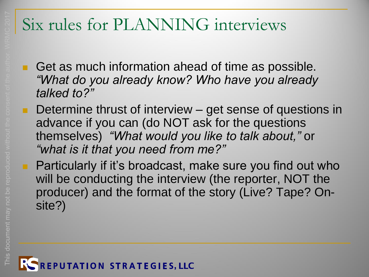#### Six rules for PLANNING interviews

- Get as much information ahead of time as possible. *"What do you already know? Who have you already talked to?"*
- Determine thrust of interview get sense of questions in advance if you can (do NOT ask for the questions themselves) *"What would you like to talk about,"* or *"what is it that you need from me?"*
- **Particularly if it's broadcast, make sure you find out who** will be conducting the interview (the reporter, NOT the producer) and the format of the story (Live? Tape? Onsite?)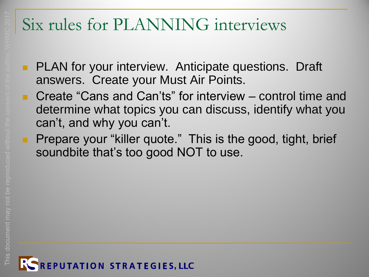#### Six rules for PLANNING interviews

- **PLAN** for your interview. Anticipate questions. Draft answers. Create your Must Air Points.
	- Create "Cans and Can'ts" for interview control time and determine what topics you can discuss, identify what you can't, and why you can't.
- **Prepare your "killer quote." This is the good, tight, brief** soundbite that's too good NOT to use.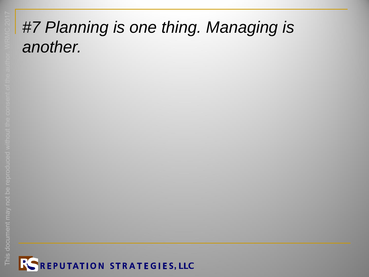#### *#7 Planning is one thing. Managing is another.*

This document may not be reproduced without the consent of the author. WRMC 2017

This document may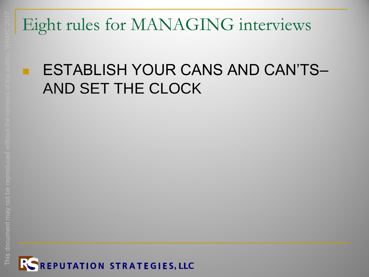#### ESTABLISH YOUR CANS AND CAN'TS– AND SET THE CLOCK

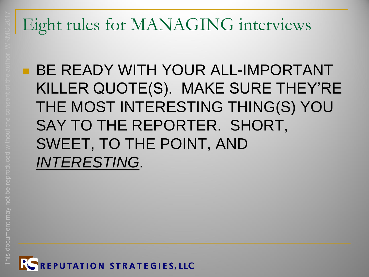**BE READY WITH YOUR ALL-IMPORTANT** KILLER QUOTE(S). MAKE SURE THEY'RE THE MOST INTERESTING THING(S) YOU SAY TO THE REPORTER. SHORT, SWEET, TO THE POINT, AND *INTERESTING*.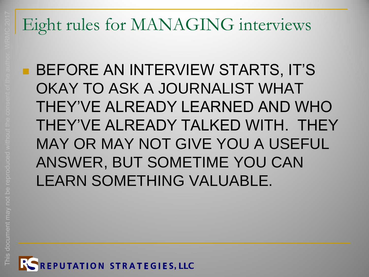**BEFORE AN INTERVIEW STARTS, IT'S** OKAY TO ASK A JOURNALIST WHAT THEY'VE ALREADY LEARNED AND WHO THEY'VE ALREADY TALKED WITH. THEY MAY OR MAY NOT GIVE YOU A USEFUL ANSWER, BUT SOMETIME YOU CAN LEARN SOMETHING VALUABLE.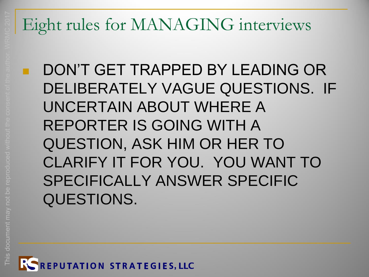DON'T GET TRAPPED BY LEADING OR DELIBERATELY VAGUE QUESTIONS. IF UNCERTAIN ABOUT WHERE A REPORTER IS GOING WITH A QUESTION, ASK HIM OR HER TO CLARIFY IT FOR YOU. YOU WANT TO SPECIFICALLY ANSWER SPECIFIC QUESTIONS.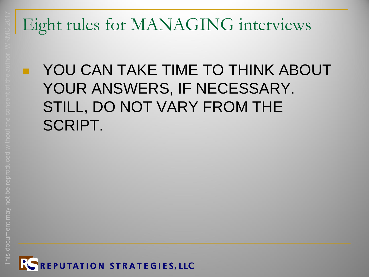#### YOU CAN TAKE TIME TO THINK ABOUT YOUR ANSWERS, IF NECESSARY. STILL, DO NOT VARY FROM THE SCRIPT.

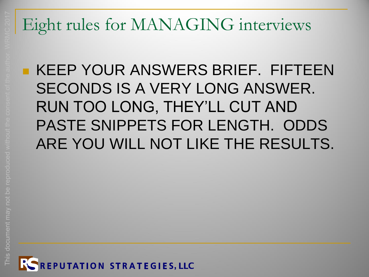#### KEEP YOUR ANSWERS BRIEF. FIFTEEN SECONDS IS A VERY LONG ANSWER. RUN TOO LONG, THEY'LL CUT AND PASTE SNIPPETS FOR LENGTH. ODDS ARE YOU WILL NOT LIKE THE RESULTS.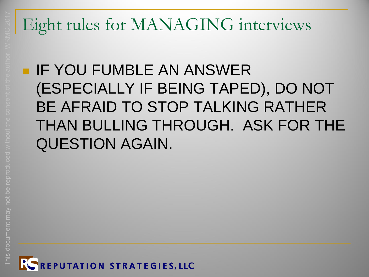#### **IF YOU FUMBLE AN ANSWER** (ESPECIALLY IF BEING TAPED), DO NOT BE AFRAID TO STOP TALKING RATHER THAN BULLING THROUGH. ASK FOR THE QUESTION AGAIN.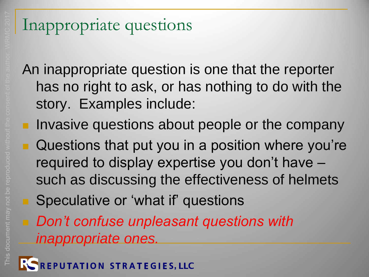#### Inappropriate questions

An inappropriate question is one that the reporter has no right to ask, or has nothing to do with the story. Examples include:

- **Invasive questions about people or the company** 
	- Questions that put you in a position where you're required to display expertise you don't have – such as discussing the effectiveness of helmets
	- Speculative or 'what if' questions
	- *Don't confuse unpleasant questions with inappropriate ones.*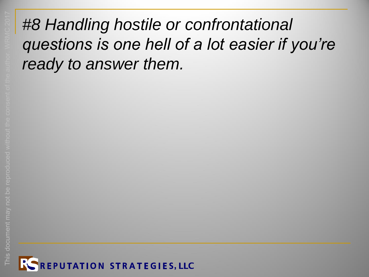#### *#8 Handling hostile or confrontational questions is one hell of a lot easier if you're ready to answer them.*

This document may not be reproduced without the consent of the author. WRMC 2017

This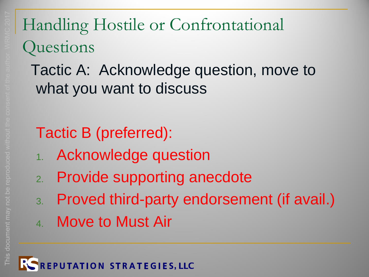## Handling Hostile or Confrontational **Questions**

#### Tactic A: Acknowledge question, move to what you want to discuss

### Tactic B (preferred):

- 1. Acknowledge question
- 2. Provide supporting anecdote
- 3. Proved third-party endorsement (if avail.)
- 4. Move to Must Air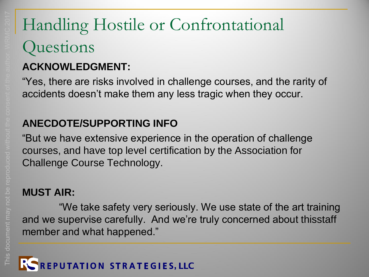### Handling Hostile or Confrontational **Questions**

#### **ACKNOWLEDGMENT:**

"Yes, there are risks involved in challenge courses, and the rarity of accidents doesn't make them any less tragic when they occur.

#### **ANECDOTE/SUPPORTING INFO**

"But we have extensive experience in the operation of challenge courses, and have top level certification by the Association for Challenge Course Technology.

#### **MUST AIR:**

"We take safety very seriously. We use state of the art training and we supervise carefully. And we're truly concerned about thisstaff member and what happened."

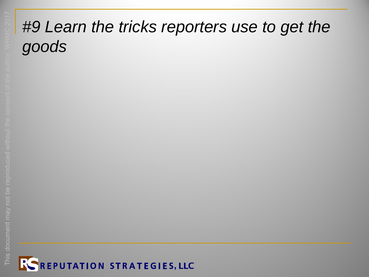#### *#9 Learn the tricks reporters use to get the goods*

This document may not be reproduced without the consent of the author. WRMC 2017

reprod

This docu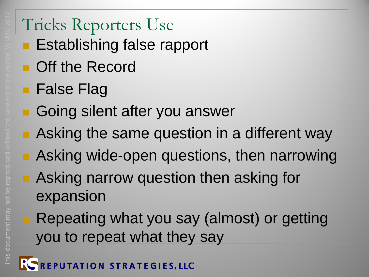#### Tricks Reporters Use

- **Establishing false rapport**
- **Deal** Off the Record
- **False Flag**
- Going silent after you answer
- **Asking the same question in a different way**
- **B.** Asking wide-open questions, then narrowing
- **Asking narrow question then asking for** expansion
	- Repeating what you say (almost) or getting you to repeat what they say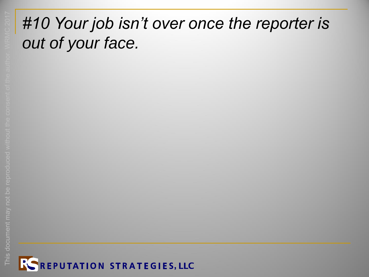#### *#10 Your job isn't over once the reporter is out of your face.*

This document may not be reproduced without the consent of the author. WRMC 2017

This docu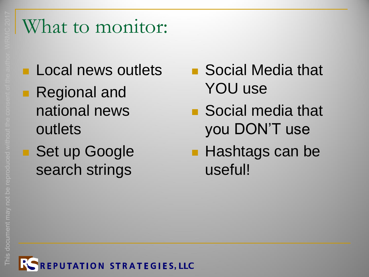### What to monitor:

**Local news outlets Regional and** national news outlets ■ Set up Google search strings

■ Social Media that YOU use

- Social media that you DON'T use
- **Hashtags can be** useful!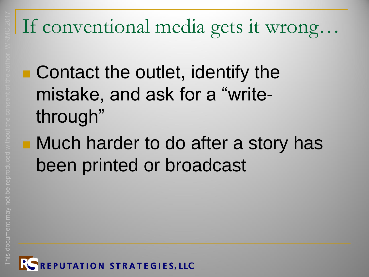# If conventional media gets it wrong…

- Contact the outlet, identify the mistake, and ask for a "writethrough"
- **Nuch harder to do after a story has** been printed or broadcast

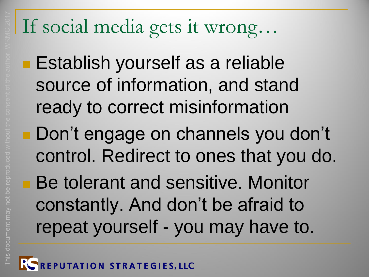# If social media gets it wrong…

**Establish yourself as a reliable** source of information, and stand ready to correct misinformation

Don't engage on channels you don't control. Redirect to ones that you do.

**Be tolerant and sensitive. Monitor** constantly. And don't be afraid to repeat yourself - you may have to.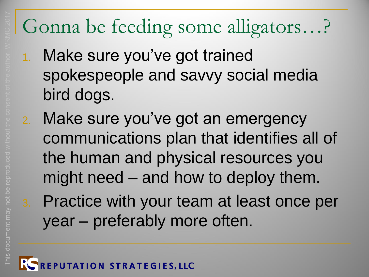# Gonna be feeding some alligators…?

- 1. Make sure you've got trained spokespeople and savvy social media bird dogs.
- 2. Make sure you've got an emergency communications plan that identifies all of the human and physical resources you might need – and how to deploy them.
- 3. Practice with your team at least once per year – preferably more often.